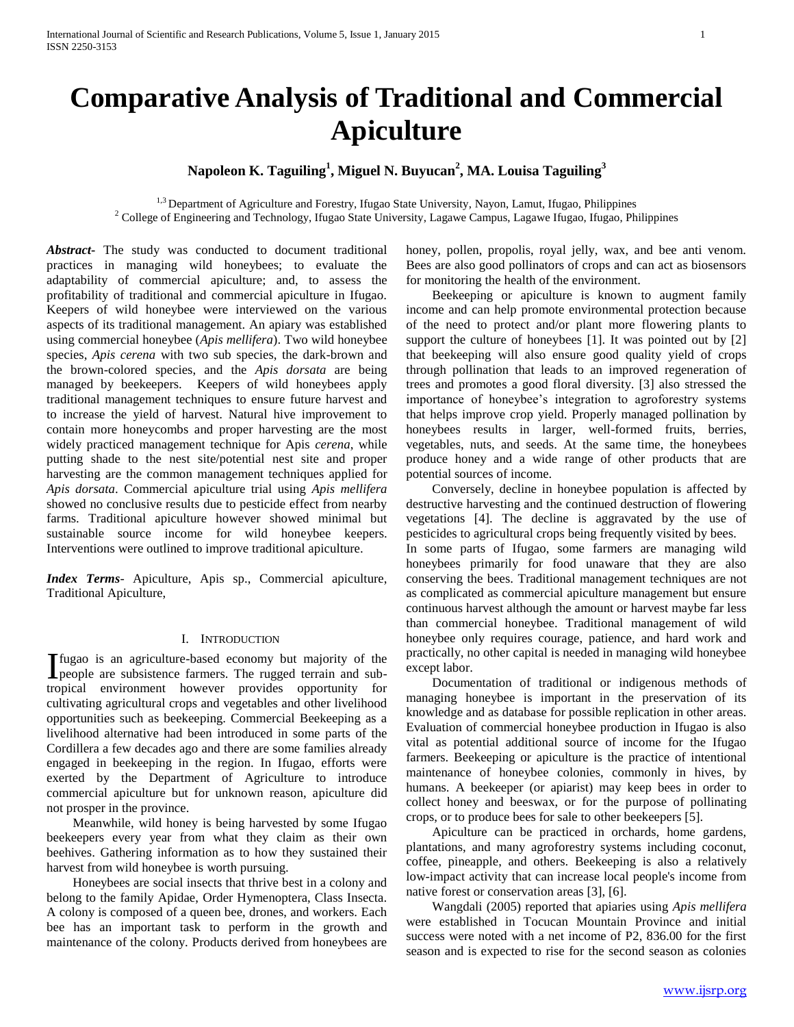# **Comparative Analysis of Traditional and Commercial Apiculture**

# **Napoleon K. Taguiling<sup>1</sup> , Miguel N. Buyucan<sup>2</sup> , MA. Louisa Taguiling<sup>3</sup>**

<sup>1,3</sup> Department of Agriculture and Forestry, Ifugao State University, Nayon, Lamut, Ifugao, Philippines <sup>2</sup> College of Engineering and Technology, Ifugao State University, Lagawe Campus, Lagawe Ifugao, Ifugao, Philippines

*Abstract***-** The study was conducted to document traditional practices in managing wild honeybees; to evaluate the adaptability of commercial apiculture; and, to assess the profitability of traditional and commercial apiculture in Ifugao. Keepers of wild honeybee were interviewed on the various aspects of its traditional management. An apiary was established using commercial honeybee (*Apis mellifera*). Two wild honeybee species, *Apis cerena* with two sub species, the dark-brown and the brown-colored species, and the *Apis dorsata* are being managed by beekeepers. Keepers of wild honeybees apply traditional management techniques to ensure future harvest and to increase the yield of harvest. Natural hive improvement to contain more honeycombs and proper harvesting are the most widely practiced management technique for Apis *cerena*, while putting shade to the nest site/potential nest site and proper harvesting are the common management techniques applied for *Apis dorsata*. Commercial apiculture trial using *Apis mellifera*  showed no conclusive results due to pesticide effect from nearby farms. Traditional apiculture however showed minimal but sustainable source income for wild honeybee keepers. Interventions were outlined to improve traditional apiculture.

*Index Terms*- Apiculture, Apis sp., Commercial apiculture, Traditional Apiculture,

# I. INTRODUCTION

fugao is an agriculture-based economy but majority of the Ifugao is an agriculture-based economy but majority of the people are subsistence farmers. The rugged terrain and subtropical environment however provides opportunity for cultivating agricultural crops and vegetables and other livelihood opportunities such as beekeeping. Commercial Beekeeping as a livelihood alternative had been introduced in some parts of the Cordillera a few decades ago and there are some families already engaged in beekeeping in the region. In Ifugao, efforts were exerted by the Department of Agriculture to introduce commercial apiculture but for unknown reason, apiculture did not prosper in the province.

 Meanwhile, wild honey is being harvested by some Ifugao beekeepers every year from what they claim as their own beehives. Gathering information as to how they sustained their harvest from wild honeybee is worth pursuing.

 Honeybees are social insects that thrive best in a colony and belong to the family Apidae, Order Hymenoptera, Class Insecta. A colony is composed of a queen bee, drones, and workers. Each bee has an important task to perform in the growth and maintenance of the colony. Products derived from honeybees are honey, pollen, propolis, royal jelly, wax, and bee anti venom. Bees are also good pollinators of crops and can act as biosensors for monitoring the health of the environment.

 Beekeeping or apiculture is known to augment family income and can help promote environmental protection because of the need to protect and/or plant more flowering plants to support the culture of honeybees [1]. It was pointed out by [2] that beekeeping will also ensure good quality yield of crops through pollination that leads to an improved regeneration of trees and promotes a good floral diversity. [3] also stressed the importance of honeybee's integration to agroforestry systems that helps improve crop yield. Properly managed pollination by honeybees results in larger, well-formed fruits, berries, vegetables, nuts, and seeds. At the same time, the honeybees produce honey and a wide range of other products that are potential sources of income.

 Conversely, decline in honeybee population is affected by destructive harvesting and the continued destruction of flowering vegetations [4]. The decline is aggravated by the use of pesticides to agricultural crops being frequently visited by bees. In some parts of Ifugao, some farmers are managing wild honeybees primarily for food unaware that they are also conserving the bees. Traditional management techniques are not as complicated as commercial apiculture management but ensure continuous harvest although the amount or harvest maybe far less than commercial honeybee. Traditional management of wild honeybee only requires courage, patience, and hard work and practically, no other capital is needed in managing wild honeybee except labor.

 Documentation of traditional or indigenous methods of managing honeybee is important in the preservation of its knowledge and as database for possible replication in other areas. Evaluation of commercial honeybee production in Ifugao is also vital as potential additional source of income for the Ifugao farmers. Beekeeping or apiculture is the practice of intentional maintenance of honeybee colonies, commonly in hives, by humans. A beekeeper (or apiarist) may keep bees in order to collect honey and beeswax, or for the purpose of pollinating crops, or to produce bees for sale to other beekeepers [5].

 Apiculture can be practiced in orchards, home gardens, plantations, and many agroforestry systems including coconut, coffee, pineapple, and others. Beekeeping is also a relatively low-impact activity that can increase local people's income from native forest or conservation areas [3], [6].

 Wangdali (2005) reported that apiaries using *Apis mellifera*  were established in Tocucan Mountain Province and initial success were noted with a net income of P2, 836.00 for the first season and is expected to rise for the second season as colonies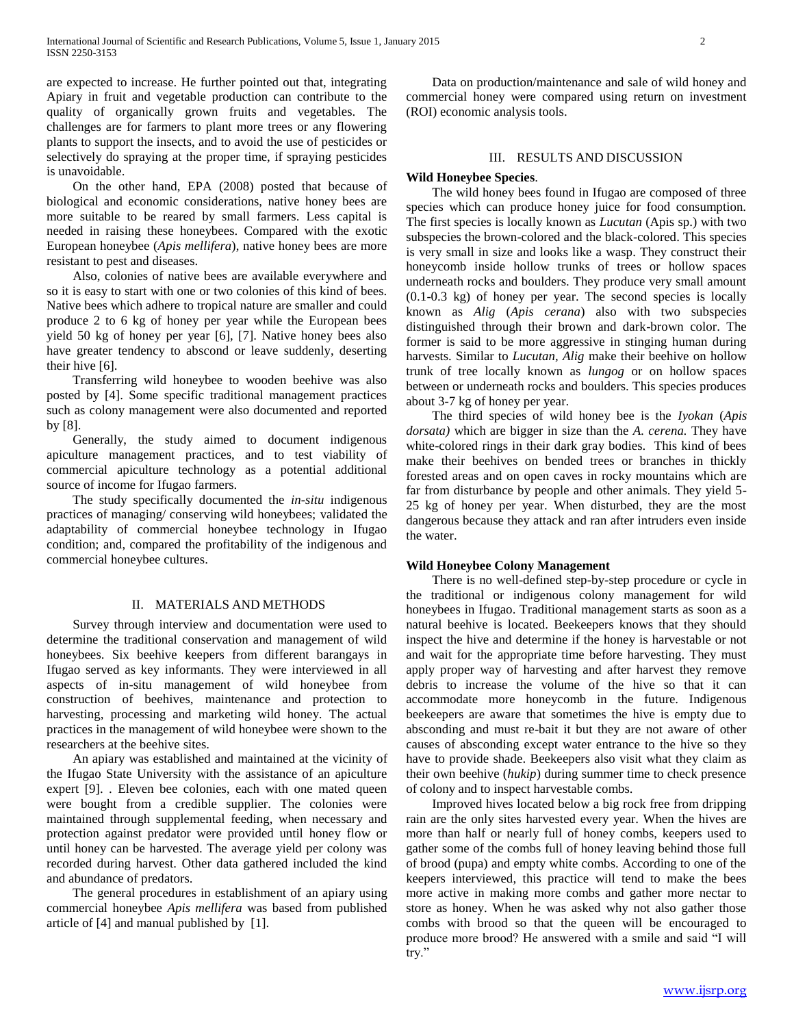are expected to increase. He further pointed out that, integrating Apiary in fruit and vegetable production can contribute to the quality of organically grown fruits and vegetables. The challenges are for farmers to plant more trees or any flowering plants to support the insects, and to avoid the use of pesticides or selectively do spraying at the proper time, if spraying pesticides is unavoidable.

 On the other hand, EPA (2008) posted that because of biological and economic considerations, native honey bees are more suitable to be reared by small farmers. Less capital is needed in raising these honeybees. Compared with the exotic European honeybee (*Apis mellifera*), native honey bees are more resistant to pest and diseases.

 Also, colonies of native bees are available everywhere and so it is easy to start with one or two colonies of this kind of bees. Native bees which adhere to tropical nature are smaller and could produce 2 to 6 kg of honey per year while the European bees yield 50 kg of honey per year [6], [7]. Native honey bees also have greater tendency to abscond or leave suddenly, deserting their hive [6].

 Transferring wild honeybee to wooden beehive was also posted by [4]. Some specific traditional management practices such as colony management were also documented and reported by [8].

 Generally, the study aimed to document indigenous apiculture management practices, and to test viability of commercial apiculture technology as a potential additional source of income for Ifugao farmers.

 The study specifically documented the *in-situ* indigenous practices of managing/ conserving wild honeybees; validated the adaptability of commercial honeybee technology in Ifugao condition; and, compared the profitability of the indigenous and commercial honeybee cultures.

## II. MATERIALS AND METHODS

 Survey through interview and documentation were used to determine the traditional conservation and management of wild honeybees. Six beehive keepers from different barangays in Ifugao served as key informants. They were interviewed in all aspects of in-situ management of wild honeybee from construction of beehives, maintenance and protection to harvesting, processing and marketing wild honey. The actual practices in the management of wild honeybee were shown to the researchers at the beehive sites.

 An apiary was established and maintained at the vicinity of the Ifugao State University with the assistance of an apiculture expert [9]. . Eleven bee colonies, each with one mated queen were bought from a credible supplier. The colonies were maintained through supplemental feeding, when necessary and protection against predator were provided until honey flow or until honey can be harvested. The average yield per colony was recorded during harvest. Other data gathered included the kind and abundance of predators.

 The general procedures in establishment of an apiary using commercial honeybee *Apis mellifera* was based from published article of [4] and manual published by [1].

 Data on production/maintenance and sale of wild honey and commercial honey were compared using return on investment (ROI) economic analysis tools.

# III. RESULTS AND DISCUSSION

#### **Wild Honeybee Species**.

 The wild honey bees found in Ifugao are composed of three species which can produce honey juice for food consumption. The first species is locally known as *Lucutan* (Apis sp.) with two subspecies the brown-colored and the black-colored. This species is very small in size and looks like a wasp. They construct their honeycomb inside hollow trunks of trees or hollow spaces underneath rocks and boulders. They produce very small amount (0.1-0.3 kg) of honey per year. The second species is locally known as *Alig* (*Apis cerana*) also with two subspecies distinguished through their brown and dark-brown color. The former is said to be more aggressive in stinging human during harvests. Similar to *Lucutan, Alig* make their beehive on hollow trunk of tree locally known as *lungog* or on hollow spaces between or underneath rocks and boulders. This species produces about 3-7 kg of honey per year.

 The third species of wild honey bee is the *Iyokan* (*Apis dorsata)* which are bigger in size than the *A. cerena.* They have white-colored rings in their dark gray bodies. This kind of bees make their beehives on bended trees or branches in thickly forested areas and on open caves in rocky mountains which are far from disturbance by people and other animals. They yield 5- 25 kg of honey per year. When disturbed, they are the most dangerous because they attack and ran after intruders even inside the water.

#### **Wild Honeybee Colony Management**

 There is no well-defined step-by-step procedure or cycle in the traditional or indigenous colony management for wild honeybees in Ifugao. Traditional management starts as soon as a natural beehive is located. Beekeepers knows that they should inspect the hive and determine if the honey is harvestable or not and wait for the appropriate time before harvesting. They must apply proper way of harvesting and after harvest they remove debris to increase the volume of the hive so that it can accommodate more honeycomb in the future. Indigenous beekeepers are aware that sometimes the hive is empty due to absconding and must re-bait it but they are not aware of other causes of absconding except water entrance to the hive so they have to provide shade. Beekeepers also visit what they claim as their own beehive (*hukip*) during summer time to check presence of colony and to inspect harvestable combs.

 Improved hives located below a big rock free from dripping rain are the only sites harvested every year. When the hives are more than half or nearly full of honey combs, keepers used to gather some of the combs full of honey leaving behind those full of brood (pupa) and empty white combs. According to one of the keepers interviewed, this practice will tend to make the bees more active in making more combs and gather more nectar to store as honey. When he was asked why not also gather those combs with brood so that the queen will be encouraged to produce more brood? He answered with a smile and said "I will try."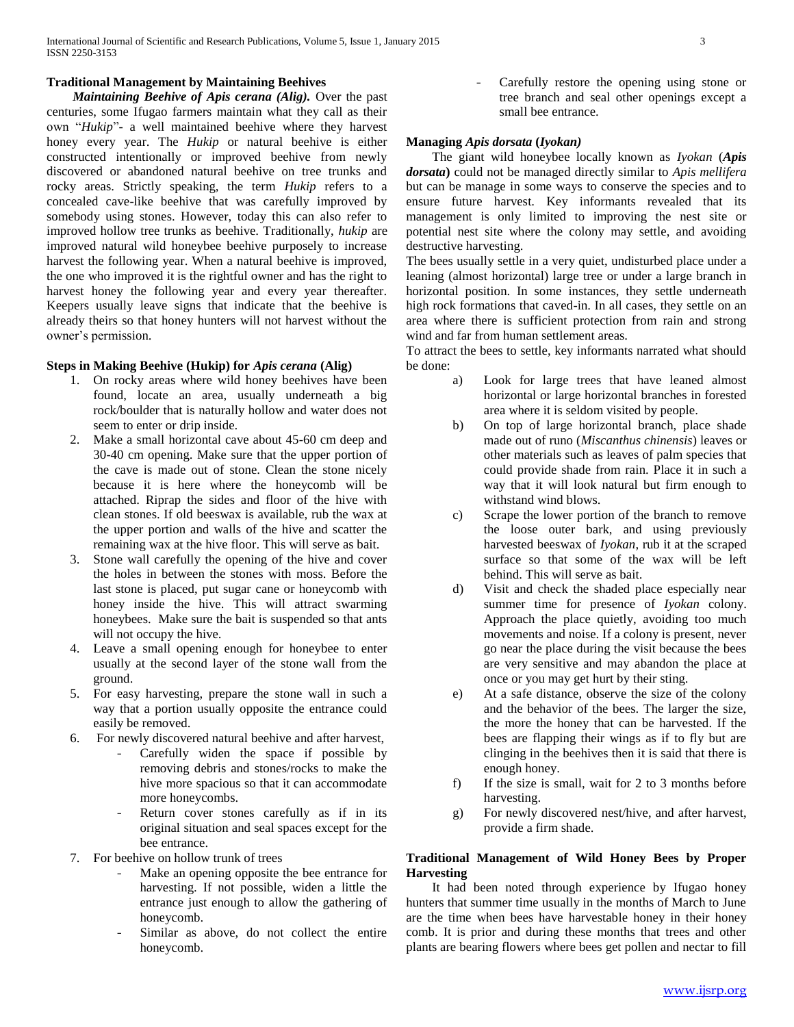# **Traditional Management by Maintaining Beehives**

 *Maintaining Beehive of Apis cerana (Alig).* Over the past centuries, some Ifugao farmers maintain what they call as their own "*Hukip*"- a well maintained beehive where they harvest honey every year. The *Hukip* or natural beehive is either constructed intentionally or improved beehive from newly discovered or abandoned natural beehive on tree trunks and rocky areas. Strictly speaking, the term *Hukip* refers to a concealed cave-like beehive that was carefully improved by somebody using stones. However, today this can also refer to improved hollow tree trunks as beehive. Traditionally, *hukip* are improved natural wild honeybee beehive purposely to increase harvest the following year. When a natural beehive is improved, the one who improved it is the rightful owner and has the right to harvest honey the following year and every year thereafter. Keepers usually leave signs that indicate that the beehive is already theirs so that honey hunters will not harvest without the owner's permission.

# **Steps in Making Beehive (Hukip) for** *Apis cerana* **(Alig)**

- 1. On rocky areas where wild honey beehives have been found, locate an area, usually underneath a big rock/boulder that is naturally hollow and water does not seem to enter or drip inside.
- 2. Make a small horizontal cave about 45-60 cm deep and 30-40 cm opening. Make sure that the upper portion of the cave is made out of stone. Clean the stone nicely because it is here where the honeycomb will be attached. Riprap the sides and floor of the hive with clean stones. If old beeswax is available, rub the wax at the upper portion and walls of the hive and scatter the remaining wax at the hive floor. This will serve as bait.
- 3. Stone wall carefully the opening of the hive and cover the holes in between the stones with moss. Before the last stone is placed, put sugar cane or honeycomb with honey inside the hive. This will attract swarming honeybees. Make sure the bait is suspended so that ants will not occupy the hive.
- 4. Leave a small opening enough for honeybee to enter usually at the second layer of the stone wall from the ground.
- 5. For easy harvesting, prepare the stone wall in such a way that a portion usually opposite the entrance could easily be removed.
- 6. For newly discovered natural beehive and after harvest,
	- Carefully widen the space if possible by removing debris and stones/rocks to make the hive more spacious so that it can accommodate more honeycombs.
	- Return cover stones carefully as if in its original situation and seal spaces except for the bee entrance.
- 7. For beehive on hollow trunk of trees
	- Make an opening opposite the bee entrance for harvesting. If not possible, widen a little the entrance just enough to allow the gathering of honeycomb.
	- Similar as above, do not collect the entire honeycomb.

Carefully restore the opening using stone or tree branch and seal other openings except a small bee entrance.

## **Managing** *Apis dorsata* **(***Iyokan)*

 The giant wild honeybee locally known as *Iyokan* (*Apis dorsata***)** could not be managed directly similar to *Apis mellifera* but can be manage in some ways to conserve the species and to ensure future harvest. Key informants revealed that its management is only limited to improving the nest site or potential nest site where the colony may settle, and avoiding destructive harvesting.

The bees usually settle in a very quiet, undisturbed place under a leaning (almost horizontal) large tree or under a large branch in horizontal position. In some instances, they settle underneath high rock formations that caved-in. In all cases, they settle on an area where there is sufficient protection from rain and strong wind and far from human settlement areas.

To attract the bees to settle, key informants narrated what should be done:

- a) Look for large trees that have leaned almost horizontal or large horizontal branches in forested area where it is seldom visited by people.
- b) On top of large horizontal branch, place shade made out of runo (*Miscanthus chinensis*) leaves or other materials such as leaves of palm species that could provide shade from rain. Place it in such a way that it will look natural but firm enough to withstand wind blows.
- c) Scrape the lower portion of the branch to remove the loose outer bark, and using previously harvested beeswax of *Iyokan*, rub it at the scraped surface so that some of the wax will be left behind. This will serve as bait.
- d) Visit and check the shaded place especially near summer time for presence of *Iyokan* colony. Approach the place quietly, avoiding too much movements and noise. If a colony is present, never go near the place during the visit because the bees are very sensitive and may abandon the place at once or you may get hurt by their sting.
- e) At a safe distance, observe the size of the colony and the behavior of the bees. The larger the size, the more the honey that can be harvested. If the bees are flapping their wings as if to fly but are clinging in the beehives then it is said that there is enough honey.
- f) If the size is small, wait for 2 to 3 months before harvesting.
- g) For newly discovered nest/hive, and after harvest, provide a firm shade.

# **Traditional Management of Wild Honey Bees by Proper Harvesting**

 It had been noted through experience by Ifugao honey hunters that summer time usually in the months of March to June are the time when bees have harvestable honey in their honey comb. It is prior and during these months that trees and other plants are bearing flowers where bees get pollen and nectar to fill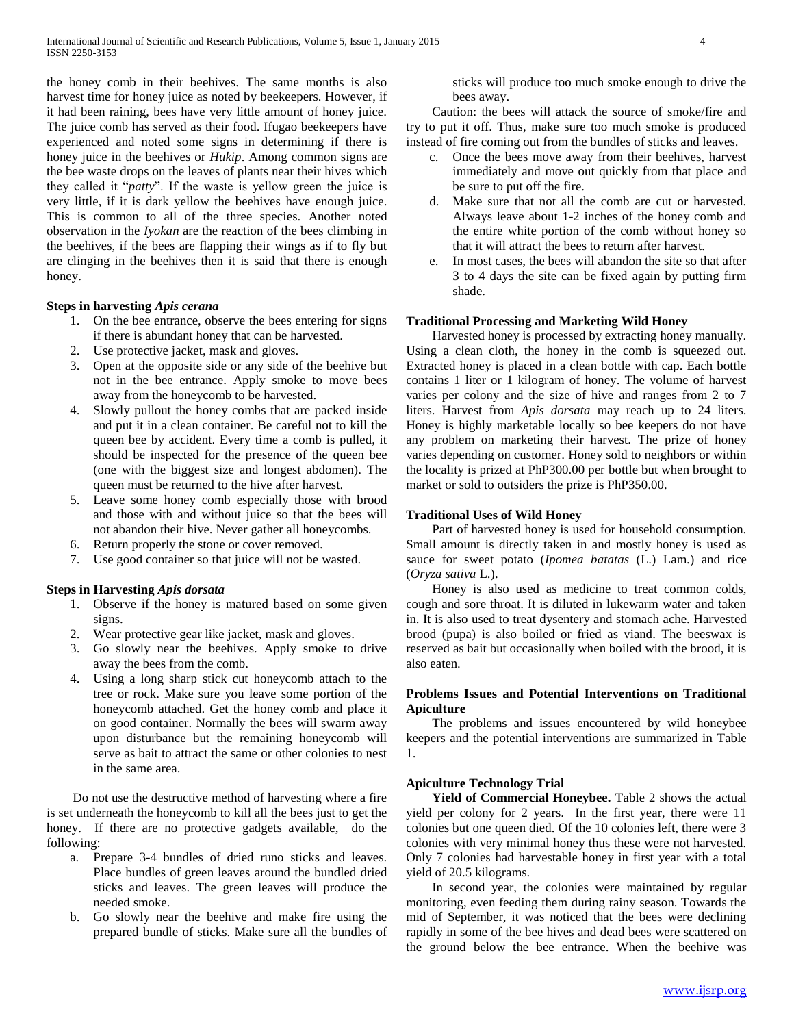the honey comb in their beehives. The same months is also harvest time for honey juice as noted by beekeepers. However, if it had been raining, bees have very little amount of honey juice. The juice comb has served as their food. Ifugao beekeepers have experienced and noted some signs in determining if there is honey juice in the beehives or *Hukip*. Among common signs are the bee waste drops on the leaves of plants near their hives which they called it "*patty*". If the waste is yellow green the juice is very little, if it is dark yellow the beehives have enough juice. This is common to all of the three species. Another noted observation in the *Iyokan* are the reaction of the bees climbing in the beehives, if the bees are flapping their wings as if to fly but are clinging in the beehives then it is said that there is enough honey.

# **Steps in harvesting** *Apis cerana*

- 1. On the bee entrance, observe the bees entering for signs if there is abundant honey that can be harvested.
- 2. Use protective jacket, mask and gloves.
- 3. Open at the opposite side or any side of the beehive but not in the bee entrance. Apply smoke to move bees away from the honeycomb to be harvested.
- 4. Slowly pullout the honey combs that are packed inside and put it in a clean container. Be careful not to kill the queen bee by accident. Every time a comb is pulled, it should be inspected for the presence of the queen bee (one with the biggest size and longest abdomen). The queen must be returned to the hive after harvest.
- 5. Leave some honey comb especially those with brood and those with and without juice so that the bees will not abandon their hive. Never gather all honeycombs.
- 6. Return properly the stone or cover removed.
- 7. Use good container so that juice will not be wasted.

# **Steps in Harvesting** *Apis dorsata*

- 1. Observe if the honey is matured based on some given signs.
- 2. Wear protective gear like jacket, mask and gloves.
- 3. Go slowly near the beehives. Apply smoke to drive away the bees from the comb.
- 4. Using a long sharp stick cut honeycomb attach to the tree or rock. Make sure you leave some portion of the honeycomb attached. Get the honey comb and place it on good container. Normally the bees will swarm away upon disturbance but the remaining honeycomb will serve as bait to attract the same or other colonies to nest in the same area.

 Do not use the destructive method of harvesting where a fire is set underneath the honeycomb to kill all the bees just to get the honey. If there are no protective gadgets available, do the following:

- a. Prepare 3-4 bundles of dried runo sticks and leaves. Place bundles of green leaves around the bundled dried sticks and leaves. The green leaves will produce the needed smoke.
- b. Go slowly near the beehive and make fire using the prepared bundle of sticks. Make sure all the bundles of

sticks will produce too much smoke enough to drive the bees away.

 Caution: the bees will attack the source of smoke/fire and try to put it off. Thus, make sure too much smoke is produced instead of fire coming out from the bundles of sticks and leaves.

- c. Once the bees move away from their beehives, harvest immediately and move out quickly from that place and be sure to put off the fire.
- d. Make sure that not all the comb are cut or harvested. Always leave about 1-2 inches of the honey comb and the entire white portion of the comb without honey so that it will attract the bees to return after harvest.
- e. In most cases, the bees will abandon the site so that after 3 to 4 days the site can be fixed again by putting firm shade.

# **Traditional Processing and Marketing Wild Honey**

 Harvested honey is processed by extracting honey manually. Using a clean cloth, the honey in the comb is squeezed out. Extracted honey is placed in a clean bottle with cap. Each bottle contains 1 liter or 1 kilogram of honey. The volume of harvest varies per colony and the size of hive and ranges from 2 to 7 liters. Harvest from *Apis dorsata* may reach up to 24 liters. Honey is highly marketable locally so bee keepers do not have any problem on marketing their harvest. The prize of honey varies depending on customer. Honey sold to neighbors or within the locality is prized at PhP300.00 per bottle but when brought to market or sold to outsiders the prize is PhP350.00.

# **Traditional Uses of Wild Honey**

 Part of harvested honey is used for household consumption. Small amount is directly taken in and mostly honey is used as sauce for sweet potato (*Ipomea batatas* (L.) Lam.) and rice (*Oryza sativa* L.).

 Honey is also used as medicine to treat common colds, cough and sore throat. It is diluted in lukewarm water and taken in. It is also used to treat dysentery and stomach ache. Harvested brood (pupa) is also boiled or fried as viand. The beeswax is reserved as bait but occasionally when boiled with the brood, it is also eaten.

# **Problems Issues and Potential Interventions on Traditional Apiculture**

 The problems and issues encountered by wild honeybee keepers and the potential interventions are summarized in Table 1.

# **Apiculture Technology Trial**

Yield of Commercial Honeybee. Table 2 shows the actual yield per colony for 2 years. In the first year, there were 11 colonies but one queen died. Of the 10 colonies left, there were 3 colonies with very minimal honey thus these were not harvested. Only 7 colonies had harvestable honey in first year with a total yield of 20.5 kilograms.

 In second year, the colonies were maintained by regular monitoring, even feeding them during rainy season. Towards the mid of September, it was noticed that the bees were declining rapidly in some of the bee hives and dead bees were scattered on the ground below the bee entrance. When the beehive was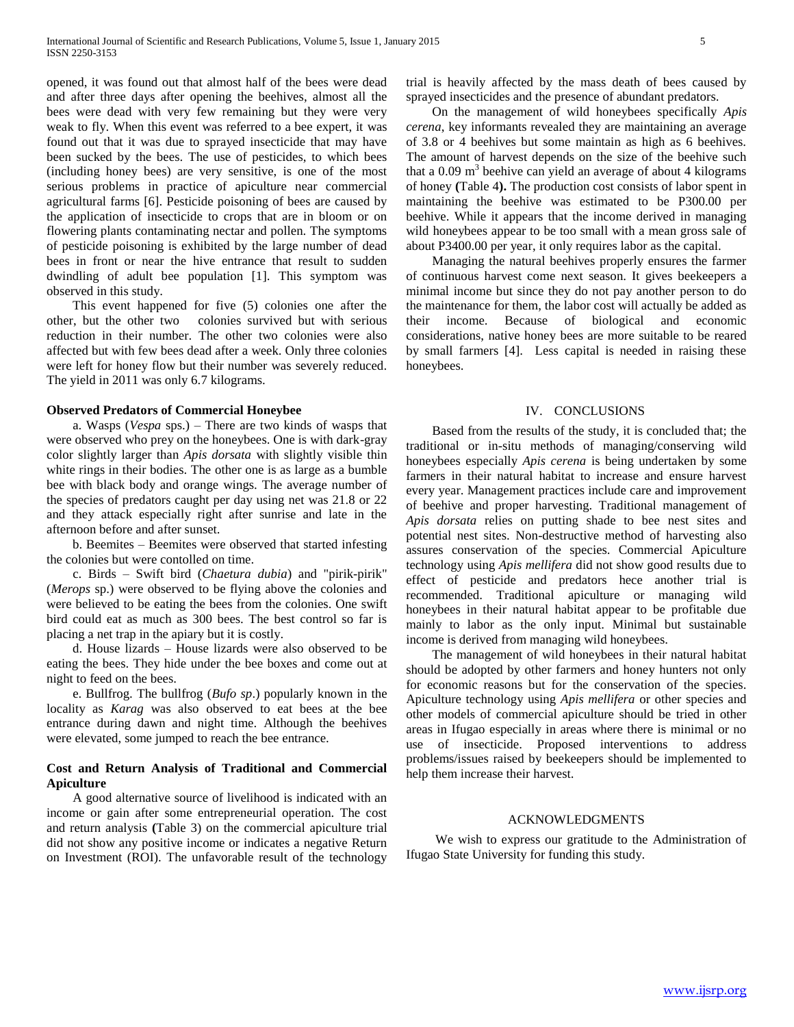opened, it was found out that almost half of the bees were dead and after three days after opening the beehives, almost all the bees were dead with very few remaining but they were very weak to fly. When this event was referred to a bee expert, it was found out that it was due to sprayed insecticide that may have been sucked by the bees. The use of pesticides, to which bees (including honey bees) are very sensitive, is one of the most serious problems in practice of apiculture near commercial agricultural farms [6]. Pesticide poisoning of bees are caused by the application of insecticide to crops that are in bloom or on flowering plants contaminating nectar and pollen. The symptoms of pesticide poisoning is exhibited by the large number of dead bees in front or near the hive entrance that result to sudden dwindling of adult bee population [1]. This symptom was observed in this study.

 This event happened for five (5) colonies one after the other, but the other two colonies survived but with serious reduction in their number. The other two colonies were also affected but with few bees dead after a week. Only three colonies were left for honey flow but their number was severely reduced. The yield in 2011 was only 6.7 kilograms.

#### **Observed Predators of Commercial Honeybee**

 a. Wasps (*Vespa* sps.) – There are two kinds of wasps that were observed who prey on the honeybees. One is with dark-gray color slightly larger than *Apis dorsata* with slightly visible thin white rings in their bodies. The other one is as large as a bumble bee with black body and orange wings. The average number of the species of predators caught per day using net was 21.8 or 22 and they attack especially right after sunrise and late in the afternoon before and after sunset.

 b. Beemites – Beemites were observed that started infesting the colonies but were contolled on time.

 c. Birds – Swift bird (*Chaetura dubia*) and "pirik-pirik" (*Merops* sp.) were observed to be flying above the colonies and were believed to be eating the bees from the colonies. One swift bird could eat as much as 300 bees. The best control so far is placing a net trap in the apiary but it is costly.

 d. House lizards – House lizards were also observed to be eating the bees. They hide under the bee boxes and come out at night to feed on the bees.

 e. Bullfrog. The bullfrog (*Bufo sp*.) popularly known in the locality as *Karag* was also observed to eat bees at the bee entrance during dawn and night time. Although the beehives were elevated, some jumped to reach the bee entrance.

# **Cost and Return Analysis of Traditional and Commercial Apiculture**

 A good alternative source of livelihood is indicated with an income or gain after some entrepreneurial operation. The cost and return analysis **(**Table 3) on the commercial apiculture trial did not show any positive income or indicates a negative Return on Investment (ROI). The unfavorable result of the technology trial is heavily affected by the mass death of bees caused by sprayed insecticides and the presence of abundant predators.

 On the management of wild honeybees specifically *Apis cerena*, key informants revealed they are maintaining an average of 3.8 or 4 beehives but some maintain as high as 6 beehives. The amount of harvest depends on the size of the beehive such that a  $0.09 \text{ m}^3$  beehive can yield an average of about 4 kilograms of honey **(**Table 4**).** The production cost consists of labor spent in maintaining the beehive was estimated to be P300.00 per beehive. While it appears that the income derived in managing wild honeybees appear to be too small with a mean gross sale of about P3400.00 per year, it only requires labor as the capital.

 Managing the natural beehives properly ensures the farmer of continuous harvest come next season. It gives beekeepers a minimal income but since they do not pay another person to do the maintenance for them, the labor cost will actually be added as their income. Because of biological and economic considerations, native honey bees are more suitable to be reared by small farmers [4]. Less capital is needed in raising these honeybees.

#### IV. CONCLUSIONS

 Based from the results of the study, it is concluded that; the traditional or in-situ methods of managing/conserving wild honeybees especially *Apis cerena* is being undertaken by some farmers in their natural habitat to increase and ensure harvest every year. Management practices include care and improvement of beehive and proper harvesting. Traditional management of *Apis dorsata* relies on putting shade to bee nest sites and potential nest sites. Non-destructive method of harvesting also assures conservation of the species. Commercial Apiculture technology using *Apis mellifera* did not show good results due to effect of pesticide and predators hece another trial is recommended. Traditional apiculture or managing wild honeybees in their natural habitat appear to be profitable due mainly to labor as the only input. Minimal but sustainable income is derived from managing wild honeybees.

 The management of wild honeybees in their natural habitat should be adopted by other farmers and honey hunters not only for economic reasons but for the conservation of the species. Apiculture technology using *Apis mellifera* or other species and other models of commercial apiculture should be tried in other areas in Ifugao especially in areas where there is minimal or no use of insecticide. Proposed interventions to address problems/issues raised by beekeepers should be implemented to help them increase their harvest.

# ACKNOWLEDGMENTS

 We wish to express our gratitude to the Administration of Ifugao State University for funding this study.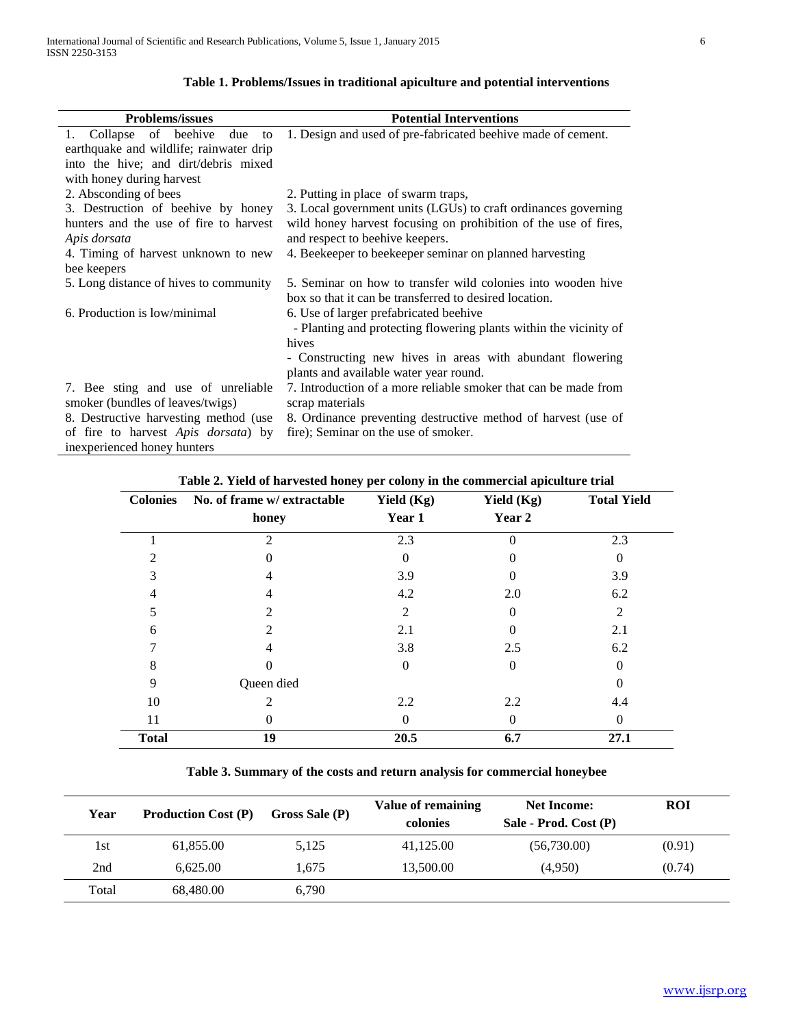| <b>Problems/issues</b>                                                 | <b>Potential Interventions</b>                                                                      |  |  |
|------------------------------------------------------------------------|-----------------------------------------------------------------------------------------------------|--|--|
| 1. Collapse of beehive<br>due<br>to                                    | 1. Design and used of pre-fabricated beehive made of cement.                                        |  |  |
| earthquake and wildlife; rainwater drip                                |                                                                                                     |  |  |
| into the hive; and dirt/debris mixed                                   |                                                                                                     |  |  |
| with honey during harvest                                              |                                                                                                     |  |  |
| 2. Absconding of bees                                                  | 2. Putting in place of swarm traps,                                                                 |  |  |
| 3. Destruction of beehive by honey                                     | 3. Local government units (LGUs) to craft ordinances governing                                      |  |  |
| hunters and the use of fire to harvest                                 | wild honey harvest focusing on prohibition of the use of fires,                                     |  |  |
| Apis dorsata                                                           | and respect to beehive keepers.                                                                     |  |  |
| 4. Timing of harvest unknown to new                                    | 4. Beekeeper to beekeeper seminar on planned harvesting                                             |  |  |
| bee keepers                                                            |                                                                                                     |  |  |
| 5. Long distance of hives to community                                 | 5. Seminar on how to transfer wild colonies into wooden hive                                        |  |  |
|                                                                        | box so that it can be transferred to desired location.                                              |  |  |
| 6. Production is low/minimal                                           | 6. Use of larger prefabricated beehive                                                              |  |  |
|                                                                        | - Planting and protecting flowering plants within the vicinity of                                   |  |  |
|                                                                        | hives                                                                                               |  |  |
|                                                                        | - Constructing new hives in areas with abundant flowering<br>plants and available water year round. |  |  |
| 7. Bee sting and use of unreliable<br>smoker (bundles of leaves/twigs) | 7. Introduction of a more reliable smoker that can be made from<br>scrap materials                  |  |  |
| 8. Destructive harvesting method (use                                  | 8. Ordinance preventing destructive method of harvest (use of                                       |  |  |
| of fire to harvest Apis dorsata) by                                    | fire); Seminar on the use of smoker.                                                                |  |  |
| inexperienced honey hunters                                            |                                                                                                     |  |  |

# **Table 1. Problems/Issues in traditional apiculture and potential interventions**

| <b>Colonies</b> | No. of frame w/ extractable | Yield $(Kg)$   | Yield $(Kg)$ | <b>Total Yield</b> |
|-----------------|-----------------------------|----------------|--------------|--------------------|
|                 | honey                       | Year 1         | Year 2       |                    |
|                 | $\mathcal{D}_{\mathcal{L}}$ | 2.3            |              | 2.3                |
| $\mathfrak{D}$  |                             | 0              |              | 0                  |
| 3               | 4                           | 3.9            |              | 3.9                |
| 4               | 4                           | 4.2            | 2.0          | 6.2                |
| 5               | $\mathfrak{D}$              | $\overline{2}$ | $\Omega$     | 2                  |
| 6               | 2                           | 2.1            |              | 2.1                |
|                 | 4                           | 3.8            | 2.5          | 6.2                |
| 8               |                             | 0              | $\Omega$     | $\Omega$           |
| 9               | Queen died                  |                |              | $\Omega$           |
| 10              | 2                           | 2.2            | 2.2          | 4.4                |
| 11              |                             | 0              | 0            | $\Omega$           |
| <b>Total</b>    | 19                          | 20.5           | 6.7          | 27.1               |

**Table 2. Yield of harvested honey per colony in the commercial apiculture trial**

**Table 3. Summary of the costs and return analysis for commercial honeybee**

| Year  | <b>Production Cost (P)</b><br>Gross Sale (P) |       | <b>Value of remaining</b><br>colonies | <b>Net Income:</b><br>Sale - Prod. Cost (P) | <b>ROI</b> |
|-------|----------------------------------------------|-------|---------------------------------------|---------------------------------------------|------------|
| 1st   | 61,855.00                                    | 5,125 | 41,125.00                             | (56,730.00)                                 | (0.91)     |
| 2nd   | 6.625.00                                     | 1,675 | 13,500.00                             | (4,950)                                     | (0.74)     |
| Total | 68,480.00                                    | 6,790 |                                       |                                             |            |